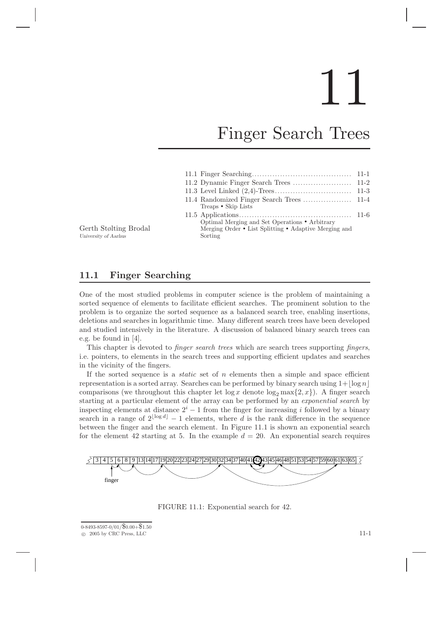# 11

# Finger Search Trees

| Treaps • Skip Lists                                                                                                |  |
|--------------------------------------------------------------------------------------------------------------------|--|
| Optimal Merging and Set Operations • Arbitrary<br>Merging Order • List Splitting • Adaptive Merging and<br>Sorting |  |

Gerth Stølting Brodal University of Aarhus

### 11.1 Finger Searching

One of the most studied problems in computer science is the problem of maintaining a sorted sequence of elements to facilitate efficient searches. The prominent solution to the problem is to organize the sorted sequence as a balanced search tree, enabling insertions, deletions and searches in logarithmic time. Many different search trees have been developed and studied intensively in the literature. A discussion of balanced binary search trees can e.g. be found in [4].

This chapter is devoted to *finger search trees* which are search trees supporting *fingers*, i.e. pointers, to elements in the search trees and supporting efficient updates and searches in the vicinity of the fingers.

If the sorted sequence is a *static* set of  $n$  elements then a simple and space efficient representation is a sorted array. Searches can be performed by binary search using  $1+|\log n|$ comparisons (we throughout this chapter let  $\log x$  denote  $\log_2 \max\{2, x\}$ ). A finger search starting at a particular element of the array can be performed by an exponential search by inspecting elements at distance  $2^{i} - 1$  from the finger for increasing i followed by a binary search in a range of  $2^{\lfloor \log d \rfloor} - 1$  elements, where d is the rank difference in the sequence between the finger and the search element. In Figure 11.1 is shown an exponential search for the element 42 starting at 5. In the example  $d = 20$ . An exponential search requires



FIGURE 11.1: Exponential search for 42.

<sup>0-8493-8597-0/01/</sup>\$0.00+\$1.50  $\degree$  2005 by CRC Press, LLC 11-1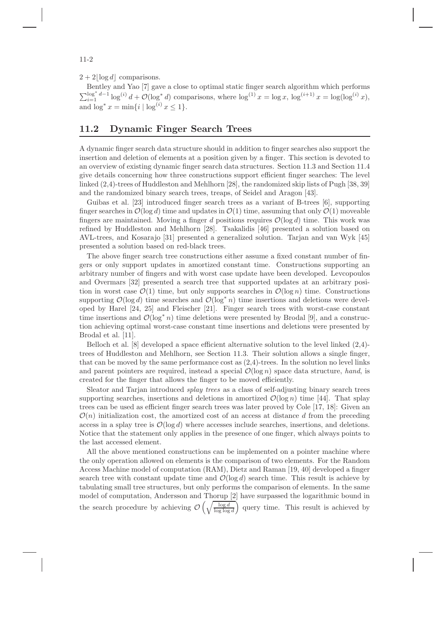$2 + 2|\log d|$  comparisons.

Bentley and Yao [7] gave a close to optimal static finger search algorithm which performs  $\sum_{i=1}^{\log^* d-1} \log^{(i)} d + \mathcal{O}(\log^* d)$  comparisons, where  $\log^{(1)} x = \log x$ ,  $\log^{(i+1)} x = \log(\log^{(i)} x)$ , and  $\log^* x = \min\{i \mid \log^{(i)} x \leq 1\}.$ 

# 11.2 Dynamic Finger Search Trees

A dynamic finger search data structure should in addition to finger searches also support the insertion and deletion of elements at a position given by a finger. This section is devoted to an overview of existing dynamic finger search data structures. Section 11.3 and Section 11.4 give details concerning how three constructions support efficient finger searches: The level linked (2,4)-trees of Huddleston and Mehlhorn [28], the randomized skip lists of Pugh [38, 39] and the randomized binary search trees, treaps, of Seidel and Aragon [43].

Guibas et al. [23] introduced finger search trees as a variant of B-trees [6], supporting finger searches in  $\mathcal{O}(\log d)$  time and updates in  $\mathcal{O}(1)$  time, assuming that only  $\mathcal{O}(1)$  moveable fingers are maintained. Moving a finger d positions requires  $\mathcal{O}(\log d)$  time. This work was refined by Huddleston and Mehlhorn [28]. Tsakalidis [46] presented a solution based on AVL-trees, and Kosarajo [31] presented a generalized solution. Tarjan and van Wyk [45] presented a solution based on red-black trees.

The above finger search tree constructions either assume a fixed constant number of fingers or only support updates in amortized constant time. Constructions supporting an arbitrary number of fingers and with worst case update have been developed. Levcopoulos and Overmars [32] presented a search tree that supported updates at an arbitrary position in worst case  $\mathcal{O}(1)$  time, but only supports searches in  $\mathcal{O}(\log n)$  time. Constructions supporting  $\mathcal{O}(\log d)$  time searches and  $\mathcal{O}(\log^* n)$  time insertions and deletions were developed by Harel [24, 25] and Fleischer [21]. Finger search trees with worst-case constant time insertions and  $\mathcal{O}(\log^* n)$  time deletions were presented by Brodal [9], and a construction achieving optimal worst-case constant time insertions and deletions were presented by Brodal et al. [11].

Belloch et al. [8] developed a space efficient alternative solution to the level linked (2,4) trees of Huddleston and Mehlhorn, see Section 11.3. Their solution allows a single finger, that can be moved by the same performance cost as  $(2,4)$ -trees. In the solution no level links and parent pointers are required, instead a special  $\mathcal{O}(\log n)$  space data structure, hand, is created for the finger that allows the finger to be moved efficiently.

Sleator and Tarjan introduced splay trees as a class of self-adjusting binary search trees supporting searches, insertions and deletions in amortized  $\mathcal{O}(\log n)$  time [44]. That splay trees can be used as efficient finger search trees was later proved by Cole [17, 18]: Given an  $\mathcal{O}(n)$  initialization cost, the amortized cost of an access at distance d from the preceding access in a splay tree is  $\mathcal{O}(\log d)$  where accesses include searches, insertions, and deletions. Notice that the statement only applies in the presence of one finger, which always points to the last accessed element.

All the above mentioned constructions can be implemented on a pointer machine where the only operation allowed on elements is the comparison of two elements. For the Random Access Machine model of computation (RAM), Dietz and Raman [19, 40] developed a finger search tree with constant update time and  $\mathcal{O}(\log d)$  search time. This result is achieve by tabulating small tree structures, but only performs the comparison of elements. In the same model of computation, Andersson and Thorup [2] have surpassed the logarithmic bound in the search procedure by achieving  $\mathcal{O}\left(\sqrt{\frac{\log d}{\log \log d}}\right)$  query time. This result is achieved by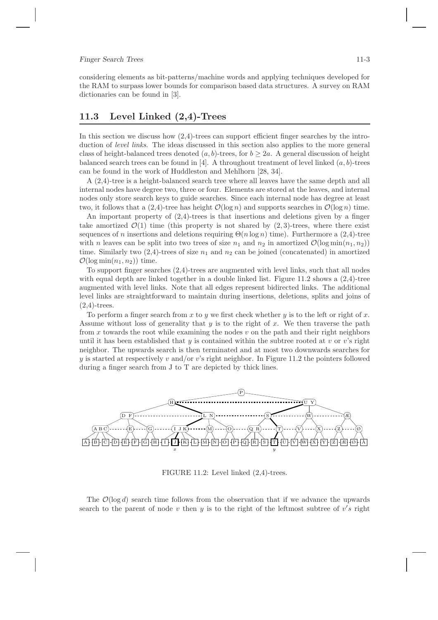#### Finger Search Trees 11-3

considering elements as bit-patterns/machine words and applying techniques developed for the RAM to surpass lower bounds for comparison based data structures. A survey on RAM dictionaries can be found in [3].

## 11.3 Level Linked (2,4)-Trees

In this section we discuss how  $(2,4)$ -trees can support efficient finger searches by the introduction of *level links*. The ideas discussed in this section also applies to the more general class of height-balanced trees denoted  $(a, b)$ -trees, for  $b \geq 2a$ . A general discussion of height balanced search trees can be found in  $[4]$ . A throughout treatment of level linked  $(a, b)$ -trees can be found in the work of Huddleston and Mehlhorn [28, 34].

A (2,4)-tree is a height-balanced search tree where all leaves have the same depth and all internal nodes have degree two, three or four. Elements are stored at the leaves, and internal nodes only store search keys to guide searches. Since each internal node has degree at least two, it follows that a  $(2,4)$ -tree has height  $\mathcal{O}(\log n)$  and supports searches in  $\mathcal{O}(\log n)$  time.

An important property of  $(2,4)$ -trees is that insertions and deletions given by a finger take amortized  $\mathcal{O}(1)$  time (this property is not shared by  $(2, 3)$ -trees, where there exist sequences of n insertions and deletions requiring  $\Theta(n \log n)$  time). Furthermore a (2,4)-tree with n leaves can be split into two trees of size  $n_1$  and  $n_2$  in amortized  $\mathcal{O}(\log \min(n_1, n_2))$ time. Similarly two  $(2,4)$ -trees of size  $n_1$  and  $n_2$  can be joined (concatenated) in amortized  $\mathcal{O}(\log \min(n_1, n_2))$  time.

To support finger searches (2,4)-trees are augmented with level links, such that all nodes with equal depth are linked together in a double linked list. Figure 11.2 shows a  $(2.4)$ -tree augmented with level links. Note that all edges represent bidirected links. The additional level links are straightforward to maintain during insertions, deletions, splits and joins of  $(2.4)$ -trees.

To perform a finger search from x to y we first check whether y is to the left or right of x. Assume without loss of generality that  $y$  is to the right of  $x$ . We then traverse the path from x towards the root while examining the nodes  $v$  on the path and their right neighbors until it has been established that  $y$  is contained within the subtree rooted at  $v$  or  $v$ 's right neighbor. The upwards search is then terminated and at most two downwards searches for y is started at respectively v and/or v's right neighbor. In Figure 11.2 the pointers followed during a finger search from J to T are depicted by thick lines.



FIGURE 11.2: Level linked (2,4)-trees.

The  $\mathcal{O}(\log d)$  search time follows from the observation that if we advance the upwards search to the parent of node  $v$  then  $y$  is to the right of the leftmost subtree of  $v's$  right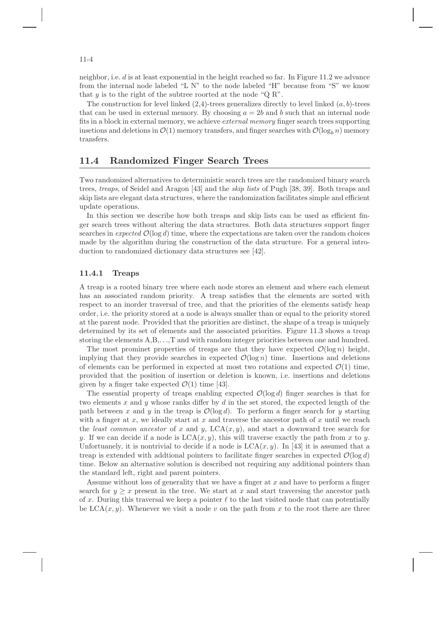neighbor, i.e.  $d$  is at least exponential in the height reached so far. In Figure 11.2 we advance from the internal node labeled "L N" to the node labeled "H" because from "S" we know that  $y$  is to the right of the subtree roorted at the node "Q R".

The construction for level linked  $(2,4)$ -trees generalizes directly to level linked  $(a, b)$ -trees that can be used in external memory. By choosing  $a = 2b$  and b such that an internal node fits in a block in external memory, we achieve external memory finger search trees supporting insetions and deletions in  $\mathcal{O}(1)$  memory transfers, and finger searches with  $\mathcal{O}(\log_b n)$  memory transfers.

#### 11.4 Randomized Finger Search Trees

Two randomized alternatives to deterministic search trees are the randomized binary search trees, treaps, of Seidel and Aragon [43] and the skip lists of Pugh [38, 39]. Both treaps and skip lists are elegant data structures, where the randomization facilitates simple and efficient update operations.

In this section we describe how both treaps and skip lists can be used as efficient finger search trees without altering the data structures. Both data structures support finger searches in expected  $\mathcal{O}(\log d)$  time, where the expectations are taken over the random choices made by the algorithm during the construction of the data structure. For a general introduction to randomized dictionary data structures see [42].

#### 11.4.1 Treaps

A treap is a rooted binary tree where each node stores an element and where each element has an associated random priority. A treap satisfies that the elements are sorted with respect to an inorder traversal of tree, and that the priorities of the elements satisfy heap order, i.e. the priority stored at a node is always smaller than or equal to the priority stored at the parent node. Provided that the priorities are distinct, the shape of a treap is uniquely determined by its set of elements and the associated priorities. Figure 11.3 shows a treap storing the elements A,B,. . .,T and with random integer priorities between one and hundred.

The most prominet properties of treaps are that they have expected  $\mathcal{O}(\log n)$  height, implying that they provide searches in expected  $\mathcal{O}(\log n)$  time. Insertions and deletions of elements can be performed in expected at most two rotations and expected  $\mathcal{O}(1)$  time, provided that the position of insertion or deletion is known, i.e. insertions and deletions given by a finger take expected  $\mathcal{O}(1)$  time [43].

The essential property of treaps enabling expected  $\mathcal{O}(\log d)$  finger searches is that for two elements x and y whose ranks differ by  $d$  in the set stored, the expected length of the path between x and y in the treap is  $\mathcal{O}(\log d)$ . To perform a finger search for y starting with a finger at x, we ideally start at x and traverse the ancestor path of x until we reach the least common ancestor of x and y,  $LCA(x, y)$ , and start a downward tree search for y. If we can decide if a node is  $LCA(x, y)$ , this will traverse exactly the path from x to y. Unfortuanely, it is nontrivial to decide if a node is  $LCA(x, y)$ . In [43] it is assumed that a treap is extended with addtional pointers to facilitate finger searches in expected  $\mathcal{O}(\log d)$ time. Below an alternative solution is described not requiring any additional pointers than the standard left, right and parent pointers.

Assume without loss of generality that we have a finger at  $x$  and have to perform a finger search for  $y > x$  present in the tree. We start at x and start traversing the ancestor path of x. During this traversal we keep a pointer  $\ell$  to the last visited node that can potentially be  $LCA(x, y)$ . Whenever we visit a node v on the path from x to the root there are three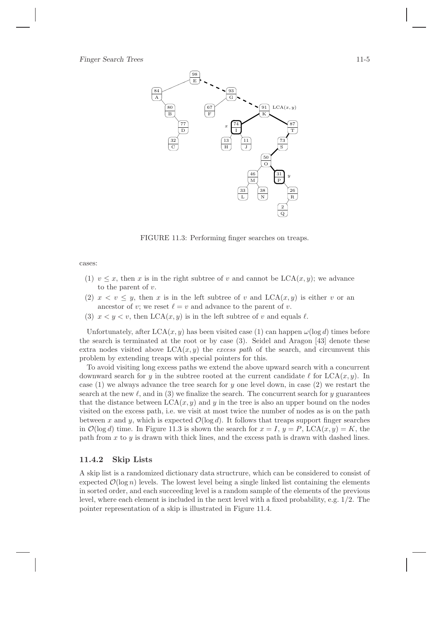

FIGURE 11.3: Performing finger searches on treaps.

cases:

- (1)  $v \leq x$ , then x is in the right subtree of v and cannot be LCA $(x, y)$ ; we advance to the parent of  $v$ .
- (2)  $x < v \leq y$ , then x is in the left subtree of v and  $LCA(x, y)$  is either v or an ancestor of v; we reset  $\ell = v$  and advance to the parent of v.
- (3)  $x < y < v$ , then LCA(x, y) is in the left subtree of v and equals  $\ell$ .

Unfortunately, after  $LCA(x, y)$  has been visited case (1) can happen  $\omega(\log d)$  times before the search is terminated at the root or by case (3). Seidel and Aragon [43] denote these extra nodes visited above  $LCA(x, y)$  the excess path of the search, and circumvent this problem by extending treaps with special pointers for this.

To avoid visiting long excess paths we extend the above upward search with a concurrent downward search for y in the subtree rooted at the current candidate  $\ell$  for  $\text{LCA}(x, y)$ . In case (1) we always advance the tree search for  $y$  one level down, in case (2) we restart the search at the new  $\ell$ , and in (3) we finalize the search. The concurrent search for y guarantees that the distance between  $LCA(x, y)$  and y in the tree is also an upper bound on the nodes visited on the excess path, i.e. we visit at most twice the number of nodes as is on the path between x and y, which is expected  $\mathcal{O}(\log d)$ . It follows that treaps support finger searches in  $\mathcal{O}(\log d)$  time. In Figure 11.3 is shown the search for  $x = I$ ,  $y = P$ , LCA $(x, y) = K$ , the path from  $x$  to  $y$  is drawn with thick lines, and the excess path is drawn with dashed lines.

#### 11.4.2 Skip Lists

A skip list is a randomized dictionary data structrure, which can be considered to consist of expected  $\mathcal{O}(\log n)$  levels. The lowest level being a single linked list containing the elements in sorted order, and each succeeding level is a random sample of the elements of the previous level, where each element is included in the next level with a fixed probability, e.g. 1/2. The pointer representation of a skip is illustrated in Figure 11.4.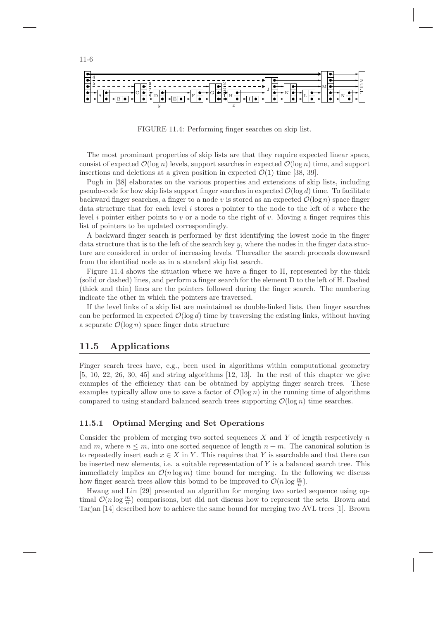

FIGURE 11.4: Performing finger searches on skip list.

The most prominant properties of skip lists are that they require expected linear space, consist of expected  $\mathcal{O}(\log n)$  levels, support searches in expected  $\mathcal{O}(\log n)$  time, and support insertions and deletions at a given position in expected  $\mathcal{O}(1)$  time [38, 39].

Pugh in [38] elaborates on the various properties and extensions of skip lists, including pseudo-code for how skip lists support finger searches in expected  $\mathcal{O}(\log d)$  time. To facilitate backward finger searches, a finger to a node v is stored as an expected  $\mathcal{O}(\log n)$  space finger data structure that for each level i stores a pointer to the node to the left of v where the level i pointer either points to v or a node to the right of v. Moving a finger requires this list of pointers to be updated correspondingly.

A backward finger search is performed by first identifying the lowest node in the finger data structure that is to the left of the search key y, where the nodes in the finger data stucture are considered in order of increasing levels. Thereafter the search proceeds downward from the identified node as in a standard skip list search.

Figure 11.4 shows the situation where we have a finger to H, represented by the thick (solid or dashed) lines, and perform a finger search for the element D to the left of H. Dashed (thick and thin) lines are the pointers followed during the finger search. The numbering indicate the other in which the pointers are traversed.

If the level links of a skip list are maintained as double-linked lists, then finger searches can be performed in expected  $\mathcal{O}(\log d)$  time by traversing the existing links, without having a separate  $\mathcal{O}(\log n)$  space finger data structure

#### 11.5 Applications

Finger search trees have, e.g., been used in algorithms within computational geometry  $[5, 10, 22, 26, 30, 45]$  and string algorithms  $[12, 13]$ . In the rest of this chapter we give examples of the efficiency that can be obtained by applying finger search trees. These examples typically allow one to save a factor of  $\mathcal{O}(\log n)$  in the running time of algorithms compared to using standard balanced search trees supporting  $\mathcal{O}(\log n)$  time searches.

#### 11.5.1 Optimal Merging and Set Operations

Consider the problem of merging two sorted sequences  $X$  and  $Y$  of length respectively  $n$ and m, where  $n \leq m$ , into one sorted sequence of length  $n + m$ . The canonical solution is to repeatedly insert each  $x \in X$  in Y. This requires that Y is searchable and that there can be inserted new elements, i.e. a suitable representation of  $Y$  is a balanced search tree. This immediately implies an  $\mathcal{O}(n \log m)$  time bound for merging. In the following we discuss how finger search trees allow this bound to be improved to  $\mathcal{O}(n \log \frac{m}{n})$ .

Hwang and Lin [29] presented an algorithm for merging two sorted sequence using optimal  $O(n \log \frac{m}{n})$  comparisons, but did not discuss how to represent the sets. Brown and Tarjan [14] described how to achieve the same bound for merging two AVL trees [1]. Brown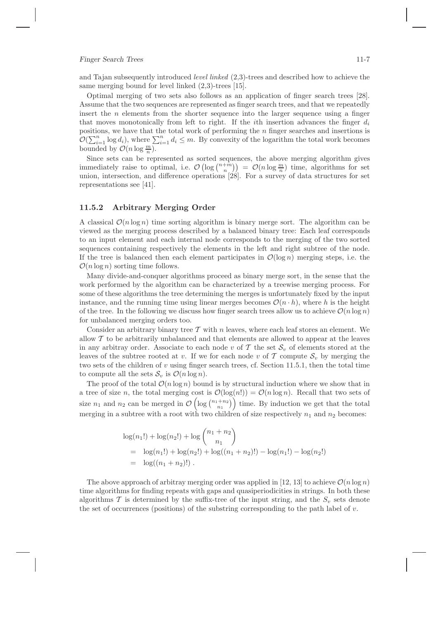#### Finger Search Trees 11-7

and Tajan subsequently introduced level linked (2,3)-trees and described how to achieve the same merging bound for level linked (2,3)-trees [15].

Optimal merging of two sets also follows as an application of finger search trees [28]. Assume that the two sequences are represented as finger search trees, and that we repeatedly insert the  $n$  elements from the shorter sequence into the larger sequence using a finger that moves monotonically from left to right. If the *i*th insertion advances the finger  $d_i$ positions, we have that the total work of performing the n finger searches and insertions is  $\mathcal{O}(\sum_{i=1}^n \log d_i)$ , where  $\sum_{i=1}^n d_i \leq m$ . By convexity of the logarithm the total work becomes bounded by  $\mathcal{O}(n \log \frac{m}{n})$ .

Since sets can be represented as sorted sequences, the above merging algorithm gives immediately raise to optimal, i.e.  $\mathcal{O}\left(\log\binom{n+m}{n}\right) = \mathcal{O}(n \log \frac{m}{n})$  time, algorithms for set union, intersection, and difference operations [28]. For a survey of data structures for set representations see [41].

#### 11.5.2 Arbitrary Merging Order

A classical  $\mathcal{O}(n \log n)$  time sorting algorithm is binary merge sort. The algorithm can be viewed as the merging process described by a balanced binary tree: Each leaf corresponds to an input element and each internal node corresponds to the merging of the two sorted sequences containing respectively the elements in the left and right subtree of the node. If the tree is balanced then each element participates in  $\mathcal{O}(\log n)$  merging steps, i.e. the  $\mathcal{O}(n \log n)$  sorting time follows.

Many divide-and-conquer algorithms proceed as binary merge sort, in the sense that the work performed by the algorithm can be characterized by a treewise merging process. For some of these algorithms the tree determining the merges is unfortunately fixed by the input instance, and the running time using linear merges becomes  $\mathcal{O}(n \cdot h)$ , where h is the height of the tree. In the following we discuss how finger search trees allow us to achieve  $\mathcal{O}(n \log n)$ for unbalanced merging orders too.

Consider an arbitrary binary tree  $T$  with n leaves, where each leaf stores an element. We allow  $\mathcal T$  to be arbitrarily unbalanced and that elements are allowed to appear at the leaves in any arbitray order. Associate to each node v of T the set  $\mathcal{S}_v$  of elements stored at the leaves of the subtree rooted at v. If we for each node v of  $\mathcal T$  compute  $\mathcal S_v$  by merging the two sets of the children of  $v$  using finger search trees, cf. Section 11.5.1, then the total time to compute all the sets  $S_v$  is  $\mathcal{O}(n \log n)$ .

The proof of the total  $\mathcal{O}(n \log n)$  bound is by structural induction where we show that in a tree of size n, the total merging cost is  $\mathcal{O}(\log(n!)) = \mathcal{O}(n \log n)$ . Recall that two sets of size  $n_1$  and  $n_2$  can be merged in  $\mathcal{O}\left(\log\binom{n_1+n_2}{n_1}\right)$  time. By induction we get that the total merging in a subtree with a root with two children of size respectively  $n_1$  and  $n_2$  becomes:

$$
log(n_1!) + log(n_2!) + log\binom{n_1 + n_2}{n_1}
$$
  
= log(n\_1!) + log(n\_2!) + log((n\_1 + n\_2)!) - log(n\_1!) - log(n\_2!)  
= log((n\_1 + n\_2)!).

The above approach of arbitray merging order was applied in [12, 13] to achieve  $\mathcal{O}(n \log n)$ time algorithms for finding repeats with gaps and quasiperiodicities in strings. In both these algorithms  $\mathcal T$  is determined by the suffix-tree of the input string, and the  $S_n$  sets denote the set of occurrences (positions) of the substring corresponding to the path label of  $v$ .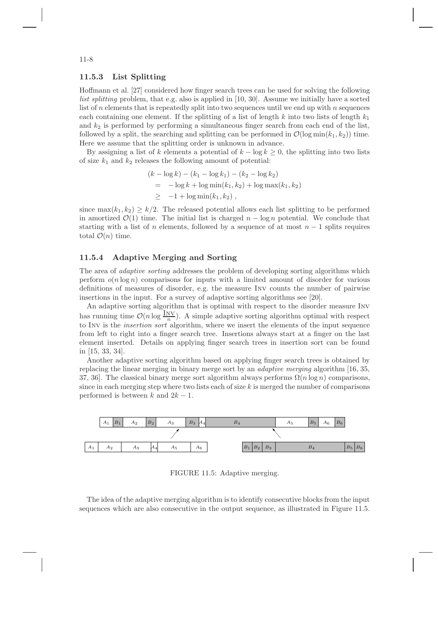#### 11.5.3 List Splitting

Hoffmann et al. [27] considered how finger search trees can be used for solving the following list splitting problem, that e.g. also is applied in [10, 30]. Assume we initially have a sorted list of  $n$  elements that is repeatedly split into two sequences until we end up with  $n$  sequences each containing one element. If the splitting of a list of length  $k$  into two lists of length  $k_1$ and  $k_2$  is performed by performing a simultaneous finger search from each end of the list, followed by a split, the searching and splitting can be performed in  $\mathcal{O}(\log \min(k_1, k_2))$  time. Here we assume that the splitting order is unknown in advance.

By assigning a list of k elements a potential of  $k - \log k \geq 0$ , the splitting into two lists of size  $k_1$  and  $k_2$  releases the following amount of potential:

$$
(k - \log k) - (k_1 - \log k_1) - (k_2 - \log k_2)
$$
  
= -\log k + \log \min(k\_1, k\_2) + \log \max(k\_1, k\_2)  

$$
\geq -1 + \log \min(k_1, k_2),
$$

since  $\max(k_1, k_2) \geq k/2$ . The released potential allows each list splitting to be performed in amortized  $\mathcal{O}(1)$  time. The initial list is charged  $n - \log n$  potential. We conclude that starting with a list of n elements, followed by a sequence of at most  $n-1$  splits requires total  $\mathcal{O}(n)$  time.

#### 11.5.4 Adaptive Merging and Sorting

The area of *adaptive sorting* addresses the problem of developing sorting algorithms which perform  $o(n \log n)$  comparisons for inputs with a limited amount of disorder for various definitions of measures of disorder, e.g. the measure Inv counts the number of pairwise insertions in the input. For a survey of adaptive sorting algorithms see [20].

An adaptive sorting algorithm that is optimal with respect to the disorder measure Inv has running time  $\mathcal{O}(n \log \frac{N}{n})$ . A simple adaptive sorting algorithm optimal with respect to INV is the *insertion sort* algorithm, where we insert the elements of the input sequence from left to right into a finger search tree. Insertions always start at a finger on the last element inserted. Details on applying finger search trees in insertion sort can be found in [15, 33, 34].

Another adaptive sorting algorithm based on applying finger search trees is obtained by replacing the linear merging in binary merge sort by an adaptive merging algorithm [16, 35, 37, 36]. The classical binary merge sort algorithm always performs  $\Omega(n \log n)$  comparisons, since in each merging step where two lists each of size  $k$  is merged the number of comparisons performed is between k and  $2k-1$ .



FIGURE 11.5: Adaptive merging.

The idea of the adaptive merging algorithm is to identify consecutive blocks from the input sequences which are also consecutive in the output sequence, as illustrated in Figure 11.5.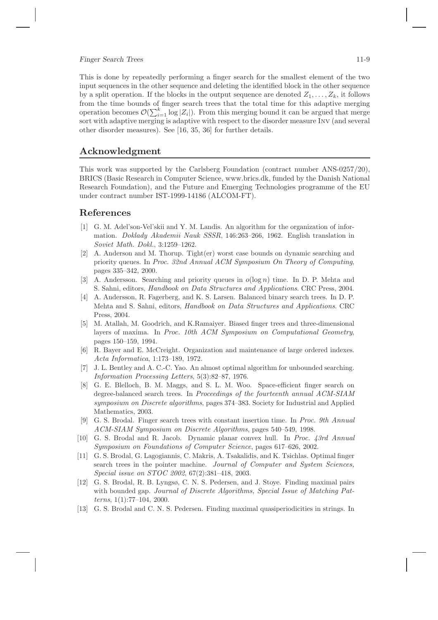#### Finger Search Trees 11-9

This is done by repeatedly performing a finger search for the smallest element of the two input sequences in the other sequence and deleting the identified block in the other sequence by a split operation. If the blocks in the output sequence are denoted  $Z_1, \ldots, Z_k$ , it follows from the time bounds of finger search trees that the total time for this adaptive merging operation becomes  $\mathcal{O}(\sum_{i=1}^k \log |Z_i|)$ . From this merging bound it can be argued that merge sort with adaptive merging is adaptive with respect to the disorder measure Inv (and several other disorder measures). See [16, 35, 36] for further details.

## Acknowledgment

This work was supported by the Carlsberg Foundation (contract number ANS-0257/20), BRICS (Basic Research in Computer Science, www.brics.dk, funded by the Danish National Research Foundation), and the Future and Emerging Technologies programme of the EU under contract number IST-1999-14186 (ALCOM-FT).

#### References

- [1] G. M. Adel'son-Vel'skii and Y. M. Landis. An algorithm for the organization of information. Doklady Akademii Nauk SSSR, 146:263–266, 1962. English translation in Soviet Math. Dokl., 3:1259–1262.
- [2] A. Anderson and M. Thorup. Tight(er) worst case bounds on dynamic searching and priority queues. In Proc. 32nd Annual ACM Symposium On Theory of Computing, pages 335–342, 2000.
- [3] A. Andersson. Searching and priority queues in  $o(\log n)$  time. In D. P. Mehta and S. Sahni, editors, Handbook on Data Structures and Applications. CRC Press, 2004.
- [4] A. Andersson, R. Fagerberg, and K. S. Larsen. Balanced binary search trees. In D. P. Mehta and S. Sahni, editors, Handbook on Data Structures and Applications. CRC Press, 2004.
- [5] M. Atallah, M. Goodrich, and K.Ramaiyer. Biased finger trees and three-dimensional layers of maxima. In Proc. 10th ACM Symposium on Computational Geometry, pages 150–159, 1994.
- [6] R. Bayer and E. McCreight. Organization and maintenance of large ordered indexes. Acta Informatica, 1:173–189, 1972.
- [7] J. L. Bentley and A. C.-C. Yao. An almost optimal algorithm for unbounded searching. Information Processing Letters, 5(3):82–87, 1976.
- [8] G. E. Blelloch, B. M. Maggs, and S. L. M. Woo. Space-efficient finger search on degree-balanced search trees. In Proceedings of the fourteenth annual ACM-SIAM symposium on Discrete algorithms, pages 374–383. Society for Industrial and Applied Mathematics, 2003.
- [9] G. S. Brodal. Finger search trees with constant insertion time. In Proc. 9th Annual ACM-SIAM Symposium on Discrete Algorithms, pages 540–549, 1998.
- [10] G. S. Brodal and R. Jacob. Dynamic planar convex hull. In Proc. 43rd Annual Symposium on Foundations of Computer Science, pages 617–626, 2002.
- [11] G. S. Brodal, G. Lagogiannis, C. Makris, A. Tsakalidis, and K. Tsichlas. Optimal finger search trees in the pointer machine. Journal of Computer and System Sciences, Special issue on STOC 2002, 67(2):381–418, 2003.
- [12] G. S. Brodal, R. B. Lyngsø, C. N. S. Pedersen, and J. Stoye. Finding maximal pairs with bounded gap. Journal of Discrete Algorithms, Special Issue of Matching Patterns, 1(1):77–104, 2000.
- [13] G. S. Brodal and C. N. S. Pedersen. Finding maximal quasiperiodicities in strings. In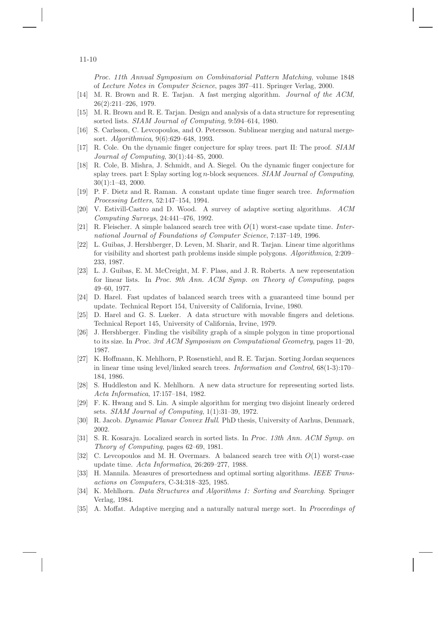Proc. 11th Annual Symposium on Combinatorial Pattern Matching, volume 1848 of Lecture Notes in Computer Science, pages 397–411. Springer Verlag, 2000.

- [14] M. R. Brown and R. E. Tarjan. A fast merging algorithm. *Journal of the ACM*, 26(2):211–226, 1979.
- [15] M. R. Brown and R. E. Tarjan. Design and analysis of a data structure for representing sorted lists. SIAM Journal of Computing, 9:594–614, 1980.
- [16] S. Carlsson, C. Levcopoulos, and O. Petersson. Sublinear merging and natural mergesort. Algorithmica, 9(6):629–648, 1993.
- [17] R. Cole. On the dynamic finger conjecture for splay trees. part II: The proof. SIAM Journal of Computing, 30(1):44–85, 2000.
- [18] R. Cole, B. Mishra, J. Schmidt, and A. Siegel. On the dynamic finger conjecture for splay trees. part I: Splay sorting log n-block sequences. SIAM Journal of Computing, 30(1):1–43, 2000.
- [19] P. F. Dietz and R. Raman. A constant update time finger search tree. Information Processing Letters, 52:147–154, 1994.
- [20] V. Estivill-Castro and D. Wood. A survey of adaptive sorting algorithms. ACM Computing Surveys, 24:441–476, 1992.
- [21] R. Fleischer. A simple balanced search tree with  $O(1)$  worst-case update time. International Journal of Foundations of Computer Science, 7:137–149, 1996.
- [22] L. Guibas, J. Hershberger, D. Leven, M. Sharir, and R. Tarjan. Linear time algorithms for visibility and shortest path problems inside simple polygons. Algorithmica, 2:209– 233, 1987.
- [23] L. J. Guibas, E. M. McCreight, M. F. Plass, and J. R. Roberts. A new representation for linear lists. In Proc. 9th Ann. ACM Symp. on Theory of Computing, pages 49–60, 1977.
- [24] D. Harel. Fast updates of balanced search trees with a guaranteed time bound per update. Technical Report 154, University of California, Irvine, 1980.
- [25] D. Harel and G. S. Lueker. A data structure with movable fingers and deletions. Technical Report 145, University of California, Irvine, 1979.
- [26] J. Hershberger. Finding the visibility graph of a simple polygon in time proportional to its size. In Proc. 3rd ACM Symposium on Computational Geometry, pages 11–20, 1987.
- [27] K. Hoffmann, K. Mehlhorn, P. Rosenstiehl, and R. E. Tarjan. Sorting Jordan sequences in linear time using level/linked search trees. Information and Control, 68(1-3):170– 184, 1986.
- [28] S. Huddleston and K. Mehlhorn. A new data structure for representing sorted lists. Acta Informatica, 17:157–184, 1982.
- [29] F. K. Hwang and S. Lin. A simple algorithm for merging two disjoint linearly ordered sets. SIAM Journal of Computing, 1(1):31–39, 1972.
- [30] R. Jacob. Dynamic Planar Convex Hull. PhD thesis, University of Aarhus, Denmark, 2002.
- [31] S. R. Kosaraju. Localized search in sorted lists. In Proc. 13th Ann. ACM Symp. on Theory of Computing, pages 62–69, 1981.
- [32] C. Levcopoulos and M. H. Overmars. A balanced search tree with  $O(1)$  worst-case update time. Acta Informatica, 26:269–277, 1988.
- [33] H. Mannila. Measures of presortedness and optimal sorting algorithms. IEEE Transactions on Computers, C-34:318–325, 1985.
- [34] K. Mehlhorn. Data Structures and Algorithms 1: Sorting and Searching. Springer Verlag, 1984.
- [35] A. Moffat. Adaptive merging and a naturally natural merge sort. In *Proceedings of*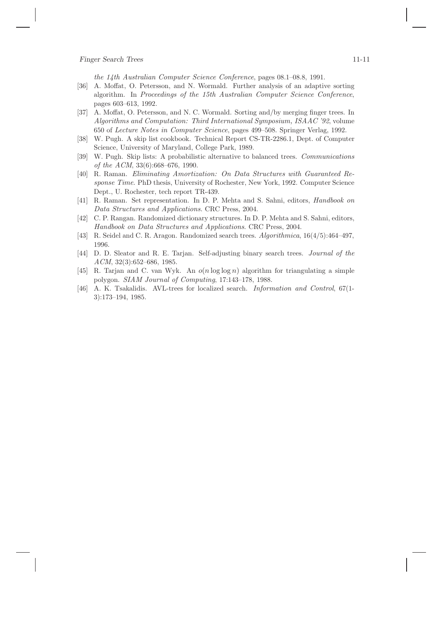the 14th Australian Computer Science Conference, pages 08.1–08.8, 1991.

- [36] A. Moffat, O. Petersson, and N. Wormald. Further analysis of an adaptive sorting algorithm. In Proceedings of the 15th Australian Computer Science Conference, pages 603–613, 1992.
- [37] A. Moffat, O. Petersson, and N. C. Wormald. Sorting and/by merging finger trees. In Algorithms and Computation: Third International Symposium, ISAAC '92, volume 650 of Lecture Notes in Computer Science, pages 499–508. Springer Verlag, 1992.
- [38] W. Pugh. A skip list cookbook. Technical Report CS-TR-2286.1, Dept. of Computer Science, University of Maryland, College Park, 1989.
- [39] W. Pugh. Skip lists: A probabilistic alternative to balanced trees. Communications of the ACM, 33(6):668–676, 1990.
- [40] R. Raman. Eliminating Amortization: On Data Structures with Guaranteed Response Time. PhD thesis, University of Rochester, New York, 1992. Computer Science Dept., U. Rochester, tech report TR-439.
- [41] R. Raman. Set representation. In D. P. Mehta and S. Sahni, editors, Handbook on Data Structures and Applications. CRC Press, 2004.
- [42] C. P. Rangan. Randomized dictionary structures. In D. P. Mehta and S. Sahni, editors, Handbook on Data Structures and Applications. CRC Press, 2004.
- [43] R. Seidel and C. R. Aragon. Randomized search trees. Algorithmica, 16(4/5):464–497, 1996.
- [44] D. D. Sleator and R. E. Tarjan. Self-adjusting binary search trees. Journal of the ACM, 32(3):652–686, 1985.
- [45] R. Tarjan and C. van Wyk. An  $o(n \log \log n)$  algorithm for triangulating a simple polygon. SIAM Journal of Computing, 17:143–178, 1988.
- [46] A. K. Tsakalidis. AVL-trees for localized search. Information and Control, 67(1- 3):173–194, 1985.